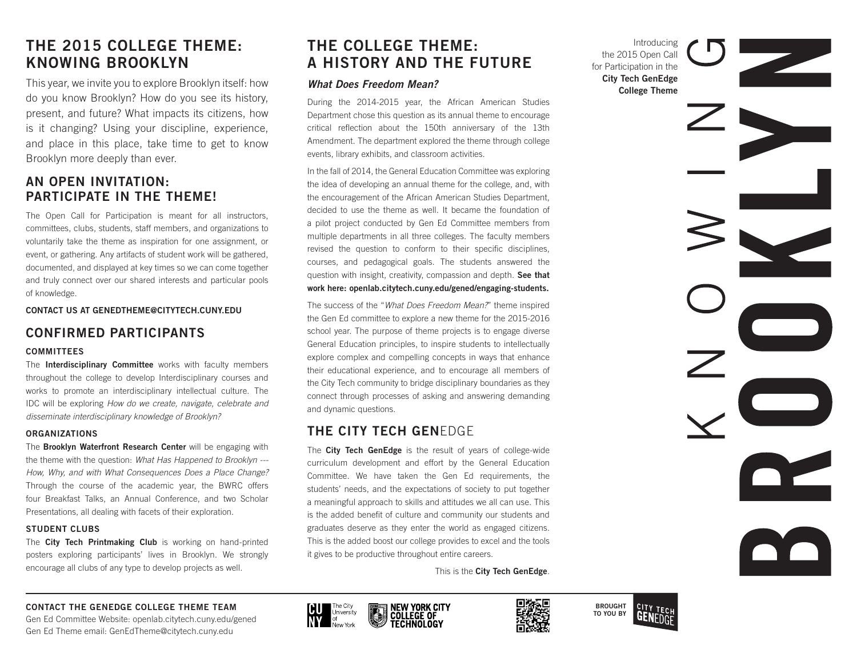# **THE 2015 COLLEGE THEME: KNOWING BROOKLYN**

This year, we invite you to explore Brooklyn itself: how do you know Brooklyn? How do you see its history, present, and future? What impacts its citizens, how is it changing? Using your discipline, experience, and place in this place, take time to get to know Brooklyn more deeply than ever.

# **AN OPEN INVITATION: PARTICIPATE IN THE THEME!**

The Open Call for Participation is meant for all instructors, committees, clubs, students, staff members, and organizations to voluntarily take the theme as inspiration for one assignment, or event, or gathering. Any artifacts of student work will be gathered, documented, and displayed at key times so we can come together and truly connect over our shared interests and particular pools of knowledge.

**CONTACT US AT GENEDTHEME@CITYTECH.CUNY.EDU**

# **CONFIRMED PARTICIPANTS**

### **COMMITTEES**

The **Interdisciplinary Committee** works with faculty members throughout the college to develop Interdisciplinary courses and works to promote an interdisciplinary intellectual culture. The IDC will be exploring *How do we create, navigate, celebrate and disseminate interdisciplinary knowledge of Brooklyn?*

### **ORGANIZATIONS**

The **Brooklyn Waterfront Research Center** will be engaging with the theme with the question: *What Has Happened to Brooklyn --- How, Why, and with What Consequences Does a Place Change?*  Through the course of the academic year, the BWRC offers four Breakfast Talks, an Annual Conference, and two Scholar Presentations, all dealing with facets of their exploration.

### **STUDENT CLUBS**

The **City Tech Printmaking Club** is working on hand-printed posters exploring participants' lives in Brooklyn. We strongly encourage all clubs of any type to develop projects as well.

# **THE COLLEGE THEME: A HISTORY AND THE FUTURE**

### *What Does Freedom Mean?*

During the 2014-2015 year, the African American Studies Department chose this question as its annual theme to encourage critical reflection about the 150th anniversary of the 13th Amendment. The department explored the theme through college events, library exhibits, and classroom activities.

In the fall of 2014, the General Education Committee was exploring the idea of developing an annual theme for the college, and, with the encouragement of the African American Studies Department, decided to use the theme as well. It became the foundation of a pilot project conducted by Gen Ed Committee members from multiple departments in all three colleges. The faculty members revised the question to conform to their specific disciplines, courses, and pedagogical goals. The students answered the question with insight, creativity, compassion and depth. **See that work here: openlab.citytech.cuny.edu/gened/engaging-students.**

The success of the "*What Does Freedom Mean?*" theme inspired the Gen Ed committee to explore a new theme for the 2015-2016 school year. The purpose of theme projects is to engage diverse General Education principles, to inspire students to intellectually explore complex and compelling concepts in ways that enhance their educational experience, and to encourage all members of the City Tech community to bridge disciplinary boundaries as they connect through processes of asking and answering demanding and dynamic questions.

# **THE CITY TECH GEN**EDGE

The **City Tech GenEdge** is the result of years of college-wide curriculum development and effort by the General Education Committee. We have taken the Gen Ed requirements, the students' needs, and the expectations of society to put together a meaningful approach to skills and attitudes we all can use. This is the added benefit of culture and community our students and graduates deserve as they enter the world as engaged citizens. This is the added boost our college provides to excel and the tools it gives to be productive throughout entire careers.

This is the **City Tech GenEdge**.



### **CONTACT THE GENEDGE COLLEGE THEME TEAM**

Gen Ed Committee Website: openlab.citytech.cuny.edu/gened Gen Ed Theme email: GenEdTheme@citytech.cuny.edu









Introducing the 2015 Open Call for Participation in the **City Tech GenEdge College Theme**